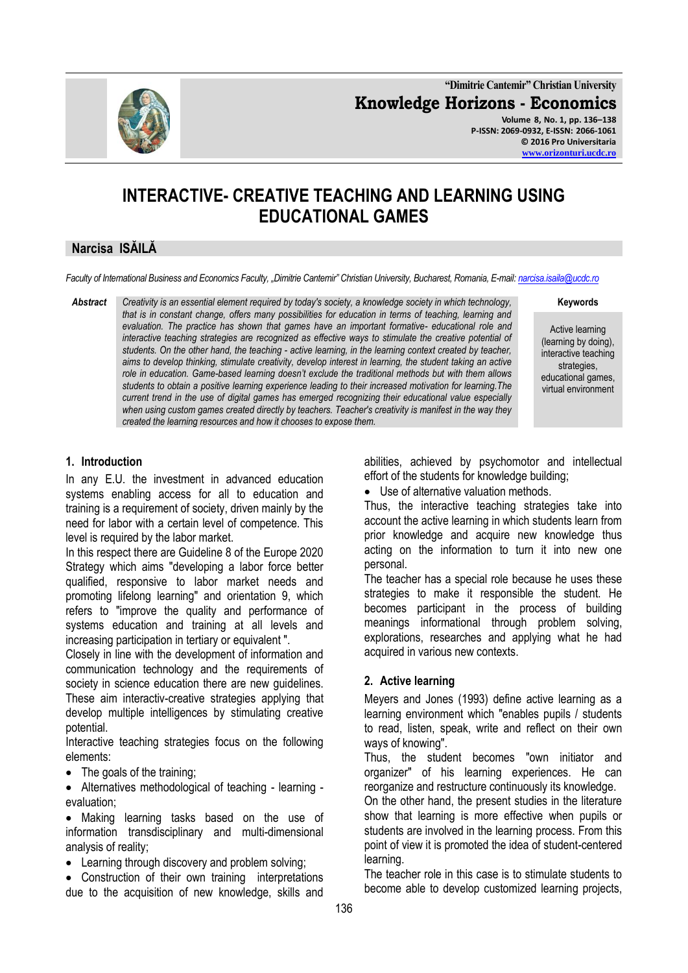

**"Dimitrie Cantemir" Christian University Knowledge Horizons - Economics Volume 8, No. 1, pp. 136–138 P-ISSN: 2069-0932, E-ISSN: 2066-1061 © 2016 Pro Universitaria**

**[www.orizonturi.ucdc.ro](http://www.orizonturi.ucdc.ro/)**

# **INTERACTIVE- CREATIVE TEACHING AND LEARNING USING EDUCATIONAL GAMES**

## **Narcisa ISĂILĂ**

*Faculty of International Business and Economics Faculty, "Dimitrie Cantemir" Christian University, Bucharest, Romania, E-mail[: narcisa.isaila@ucdc.ro](mailto:narcisa.isaila@ucdc.ro)*

*Abstract Creativity is an essential element required by today's society, a knowledge society in which technology, that is in constant change, offers many possibilities for education in terms of teaching, learning and evaluation. The practice has shown that games have an important formative- educational role and interactive teaching strategies are recognized as effective ways to stimulate the creative potential of students. On the other hand, the teaching - active learning, in the learning context created by teacher, aims to develop thinking, stimulate creativity, develop interest in learning, the student taking an active role in education. Game-based learning doesn't exclude the traditional methods but with them allows students to obtain a positive learning experience leading to their increased motivation for learning.The current trend in the use of digital games has emerged recognizing their educational value especially when using custom games created directly by teachers. Teacher's creativity is manifest in the way they created the learning resources and how it chooses to expose them.*

**Keywords**

Active learning (learning by doing), interactive teaching strategies, educational games, virtual environment

#### **1. Introduction**

In any E.U. the investment in advanced education systems enabling access for all to education and training is a requirement of society, driven mainly by the need for labor with a certain level of competence. This level is required by the labor market.

In this respect there are Guideline 8 of the Europe 2020 Strategy which aims "developing a labor force better qualified, responsive to labor market needs and promoting lifelong learning" and orientation 9, which refers to "improve the quality and performance of systems education and training at all levels and increasing participation in tertiary or equivalent ".

Closely in line with the development of information and communication technology and the requirements of society in science education there are new guidelines. These aim interactiv-creative strategies applying that develop multiple intelligences by stimulating creative potential.

Interactive teaching strategies focus on the following elements:

• The goals of the training;

 Alternatives methodological of teaching - learning evaluation;

 Making learning tasks based on the use of information transdisciplinary and multi-dimensional analysis of reality;

• Learning through discovery and problem solving;

 Construction of their own training interpretations due to the acquisition of new knowledge, skills and

abilities, achieved by psychomotor and intellectual effort of the students for knowledge building;

Use of alternative valuation methods.

Thus, the interactive teaching strategies take into account the active learning in which students learn from prior knowledge and acquire new knowledge thus acting on the information to turn it into new one personal.

The teacher has a special role because he uses these strategies to make it responsible the student. He becomes participant in the process of building meanings informational through problem solving, explorations, researches and applying what he had acquired in various new contexts.

## **2. Active learning**

Meyers and Jones (1993) define active learning as a learning environment which "enables pupils / students to read, listen, speak, write and reflect on their own ways of knowing".

Thus, the student becomes "own initiator and organizer" of his learning experiences. He can reorganize and restructure continuously its knowledge.

On the other hand, the present studies in the literature show that learning is more effective when pupils or students are involved in the learning process. From this point of view it is promoted the idea of student-centered learning.

The teacher role in this case is to stimulate students to become able to develop customized learning projects,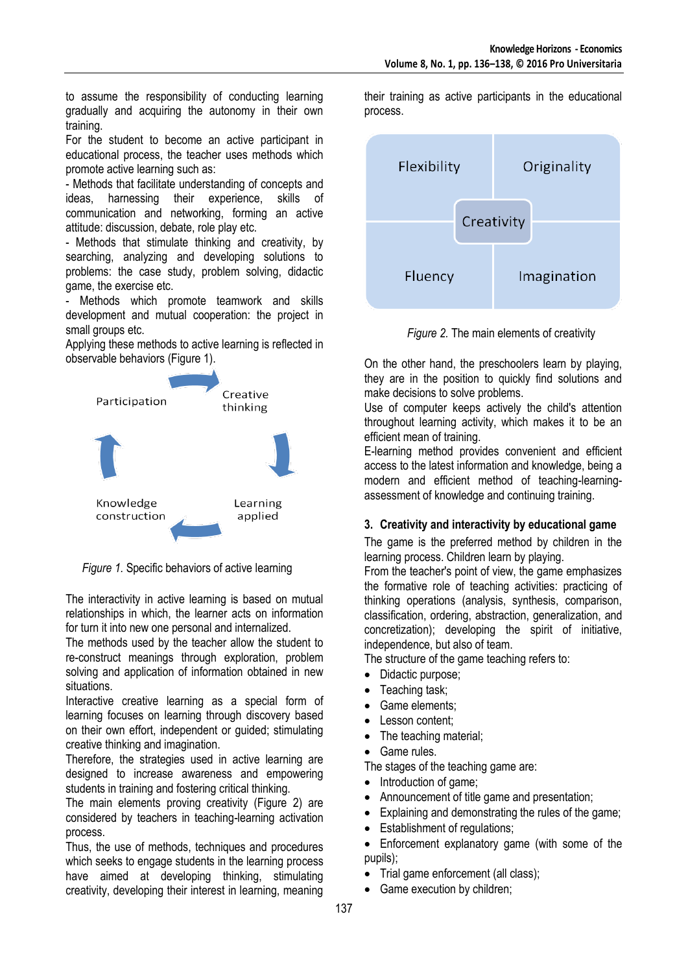to assume the responsibility of conducting learning gradually and acquiring the autonomy in their own training.

For the student to become an active participant in educational process, the teacher uses methods which promote active learning such as:

- Methods that facilitate understanding of concepts and ideas, harnessing their experience, skills of communication and networking, forming an active attitude: discussion, debate, role play etc.

- Methods that stimulate thinking and creativity, by searching, analyzing and developing solutions to problems: the case study, problem solving, didactic game, the exercise etc.

- Methods which promote teamwork and skills development and mutual cooperation: the project in small groups etc.

Applying these methods to active learning is reflected in observable behaviors (Figure 1).



*Figure 1.* Specific behaviors of active learning

The interactivity in active learning is based on mutual relationships in which, the learner acts on information for turn it into new one personal and internalized.

The methods used by the teacher allow the student to re-construct meanings through exploration, problem solving and application of information obtained in new situations.

Interactive creative learning as a special form of learning focuses on learning through discovery based on their own effort, independent or guided; stimulating creative thinking and imagination.

Therefore, the strategies used in active learning are designed to increase awareness and empowering students in training and fostering critical thinking.

The main elements proving creativity (Figure 2) are considered by teachers in teaching-learning activation process.

Thus, the use of methods, techniques and procedures which seeks to engage students in the learning process have aimed at developing thinking, stimulating creativity, developing their interest in learning, meaning

their training as active participants in the educational process.



*Figure 2.* The main elements of creativity

On the other hand, the preschoolers learn by playing, they are in the position to quickly find solutions and make decisions to solve problems.

Use of computer keeps actively the child's attention throughout learning activity, which makes it to be an efficient mean of training.

E-learning method provides convenient and efficient access to the latest information and knowledge, being a modern and efficient method of teaching-learningassessment of knowledge and continuing training.

## **3. Creativity and interactivity by educational game**

The game is the preferred method by children in the learning process. Children learn by playing.

From the teacher's point of view, the game emphasizes the formative role of teaching activities: practicing of thinking operations (analysis, synthesis, comparison, classification, ordering, abstraction, generalization, and concretization); developing the spirit of initiative, independence, but also of team.

The structure of the game teaching refers to:

- Didactic purpose;
- Teaching task;
- Game elements;
- Lesson content;
- The teaching material;
- Game rules.

The stages of the teaching game are:

- Introduction of game;
- Announcement of title game and presentation;
- Explaining and demonstrating the rules of the game;
- Establishment of regulations;
- Enforcement explanatory game (with some of the pupils);
- Trial game enforcement (all class);
- Game execution by children;